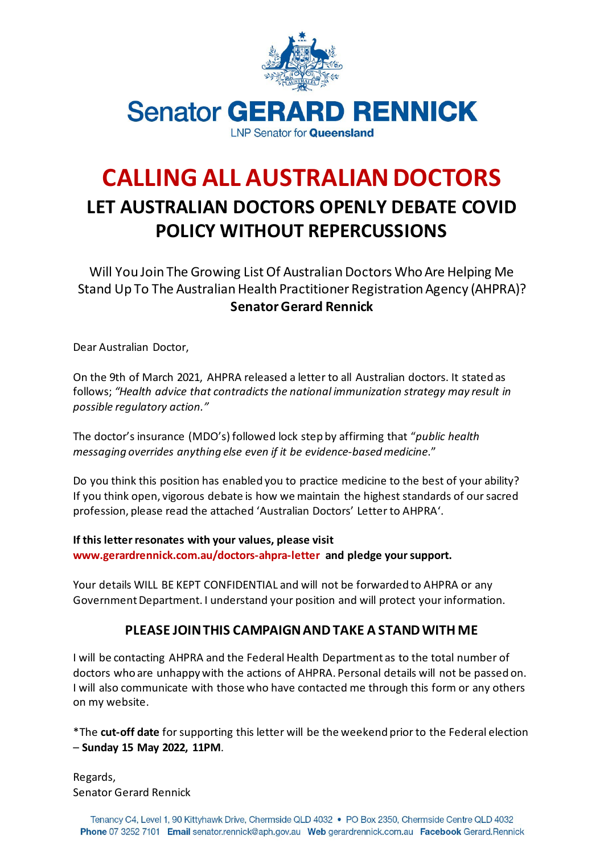

# **CALLING ALL AUSTRALIAN DOCTORS LET AUSTRALIAN DOCTORS OPENLY DEBATE COVID POLICY WITHOUT REPERCUSSIONS**

Will You Join The Growing List Of Australian Doctors Who Are Helping Me Stand Up To The Australian Health Practitioner Registration Agency (AHPRA)? **Senator Gerard Rennick**

Dear Australian Doctor,

On the 9th of March 2021, AHPRA released a letter to all Australian doctors. It stated as follows; *"Health advice that contradicts the national immunization strategy may result in possible regulatory action."*

The doctor's insurance (MDO's) followed lock step by affirming that "*public health messaging overrides anything else even if it be evidence-based medicine*."

Do you think this position has enabled you to practice medicine to the best of your ability? If you think open, vigorous debate is how we maintain the highest standards of our sacred profession, please read the attached 'Australian Doctors' Letter to AHPRA'.

#### **If this letter resonates with your values, please visit**

**[www.gerardrennick.com.au/doctors-ahpra-letter](http://www.gerardrennick.com.au/doctors-ahpra-letter) and pledge your support.** 

Your details WILL BE KEPT CONFIDENTIAL and will not be forwarded to AHPRA or any Government Department. I understand your position and will protect your information.

### **PLEASE JOIN THIS CAMPAIGN ANDTAKE A STANDWITH ME**

I will be contacting AHPRA and the Federal Health Department as to the total number of doctors who are unhappy with the actions of AHPRA. Personal details will not be passed on. I will also communicate with those who have contacted me through this form or any others on my website.

\*The **cut-off date** for supporting this letter will be the weekend prior to the Federal election – **Sunday 15 May 2022, 11PM**.

Regards, Senator Gerard Rennick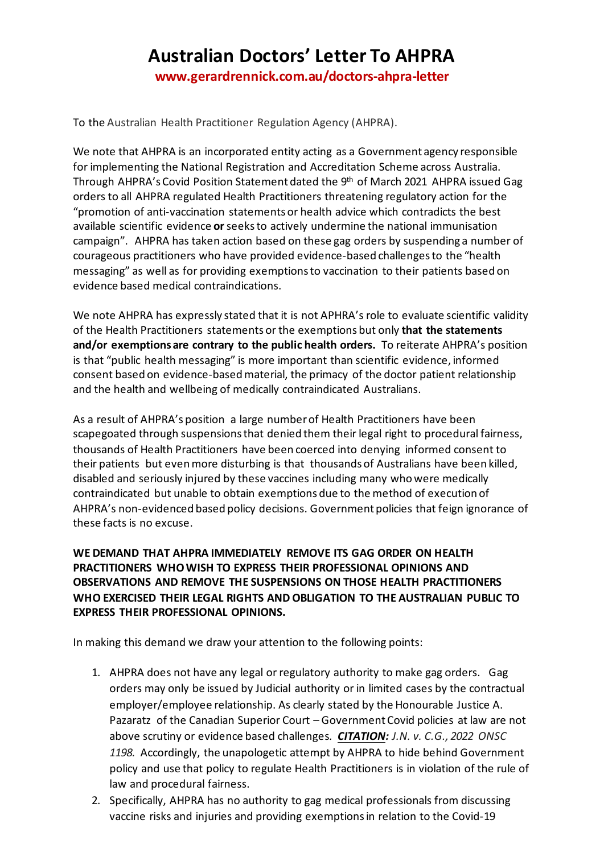### **Australian Doctors' Letter To AHPRA**

**www.gerardrennick.com.au/doctors-ahpra-letter**

To the Australian Health Practitioner Regulation Agency (AHPRA).

We note that AHPRA is an incorporated entity acting as a Government agency responsible for implementing the National Registration and Accreditation Scheme across Australia. Through AHPRA's Covid Position Statement dated the 9<sup>th</sup> of March 2021 AHPRA issued Gag orders to all AHPRA regulated Health Practitioners threatening regulatory action for the "promotion of anti-vaccination statements or health advice which contradicts the best available scientific evidence **or**seeks to actively undermine the national immunisation campaign". AHPRA has taken action based on these gag orders by suspending a number of courageous practitioners who have provided evidence-based challengesto the "health messaging" as well as for providing exemptions to vaccination to their patients based on evidence based medical contraindications.

We note AHPRA has expressly stated that it is not APHRA's role to evaluate scientific validity of the Health Practitioners statements or the exemptions but only **that the statements and/or exemptions are contrary to the public health orders.** To reiterate AHPRA's position is that "public health messaging" is more important than scientific evidence, informed consent based on evidence-basedmaterial, the primacy of the doctor patient relationship and the health and wellbeing of medically contraindicated Australians.

As a result of AHPRA's position a large numberof Health Practitioners have been scapegoated through suspensions that denied them their legal right to procedural fairness, thousands of Health Practitioners have been coerced into denying informed consent to their patients but even more disturbing is that thousands of Australians have been killed, disabled and seriously injured by these vaccines including many who were medically contraindicated but unable to obtain exemptions due to the method of execution of AHPRA's non-evidenced based policy decisions. Government policies that feign ignorance of these facts is no excuse.

**WE DEMAND THAT AHPRA IMMEDIATELY REMOVE ITS GAG ORDER ON HEALTH PRACTITIONERS WHO WISH TO EXPRESS THEIR PROFESSIONAL OPINIONS AND OBSERVATIONS AND REMOVE THE SUSPENSIONS ON THOSE HEALTH PRACTITIONERS WHO EXERCISED THEIR LEGAL RIGHTS AND OBLIGATION TO THE AUSTRALIAN PUBLIC TO EXPRESS THEIR PROFESSIONAL OPINIONS.**

In making this demand we draw your attention to the following points:

- 1. AHPRA does not have any legal or regulatory authority to make gag orders. Gag orders may only be issued by Judicial authority or in limited cases by the contractual employer/employee relationship. As clearly stated by the Honourable Justice A. Pazaratz of the Canadian Superior Court – Government Covid policies at law are not above scrutiny or evidence based challenges*. [CITATION:](http://intra.judicialsecurity.jus.gov.on.ca/NeutralCitation/) J.N. v. C.G., 2022 ONSC 1198.* Accordingly, the unapologetic attempt by AHPRA to hide behind Government policy and use that policy to regulate Health Practitioners is in violation of the rule of law and procedural fairness.
- 2. Specifically, AHPRA has no authority to gag medical professionals from discussing vaccine risks and injuries and providing exemptions in relation to the Covid-19